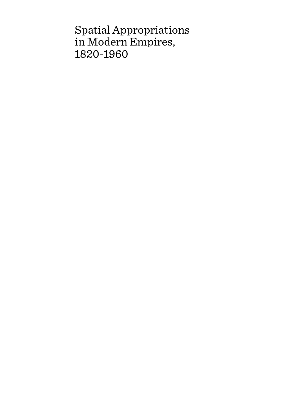# Spatial Appropriations in Modern Empires, 1820-1960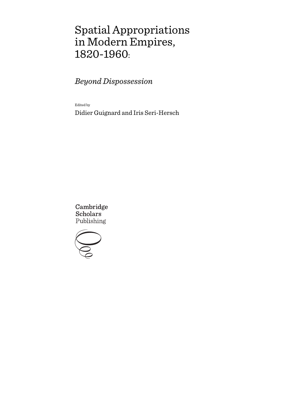# Spatial Appropriations in Modern Empires, 1820-1960:

*Beyond Dispossession*

Edited by

Didier Guignard and Iris Seri-Hersch

Cambridge **Scholars** Publishing

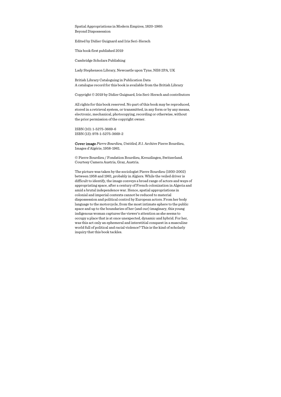Spatial Appropriations in Modern Empires, 1820-1960: Beyond Dispossession

Edited by Didier Guignard and Iris Seri-Hersch

This book first published 2019

Cambridge Scholars Publishing

Lady Stephenson Library, Newcastle upon Tyne, NE6 2PA, UK

British Library Cataloguing in Publication Data A catalogue record for this book is available from the British Library

Copyright © 2019 by Didier Guignard, Iris Seri-Hersch and contributors

All rights for this book reserved. No part of this book may be reproduced, stored in a retrieval system, or transmitted, in any form or by any means, electronic, mechanical, photocopying, recording or otherwise, without the prior permission of the copyright owner.

ISBN (10): 1-5275-3669-6 ISBN (13): 978-1-5275-3669-2

Cover image *Pierre Bourdieu, Untitled, R 1*. Archive Pierre Bourdieu, Images d'Algérie, 1958-1961.

© Pierre Bourdieu / Fondation Bourdieu, Kreuzlingen, Switzerland. Courtesy Camera Austria, Graz, Austria.

The picture was taken by the sociologist Pierre Bourdieu (1930-2002) between 1958 and 1961, probably in Algiers. While the veiled driver is difficult to identify, the image conveys a broad range of actors and ways of appropriating space, after a century of French colonization in Algeria and amid a brutal independence war. Hence, spatial appropriations in colonial and imperial contexts cannot be reduced to material dispossession and political control by European actors. From her body language to the motorcycle, from the most intimate sphere to the public space and up to the boundaries of her (and our) imaginary, this young indigenous woman captures the viewer's attention as she seems to occupy a place that is at once unexpected, dynamic and hybrid. For her, was this act only an ephemeral and interstitial conquest in a masculine world full of political and racial violence? This is the kind of scholarly inquiry that this book tackles.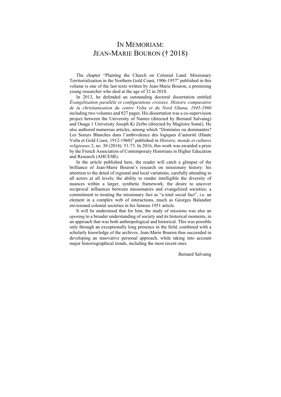# IN MEMORIAM: JEAN-MARIE BOURON († 2018)

The chapter "Planting the Church on Colonial Land: Missionary Territorialization in the Northern Gold Coast, 1906-1957" published in this volume is one of the last texts written by Jean-Marie Bouron, a promising young researcher who died at the age of 32 in 2018.

In 2013, he defended an outstanding doctoral dissertation entitled *Évangélisation parallèle et configurations croisées. Histoire comparative de la christianisation du centre Volta et du Nord Ghana, 1945-1960* including two volumes and 827 pages. His dissertation was a co-supervision project between the University of Nantes (directed by Bernard Salvaing) and Ouaga 1 University Joseph Ki Zerbo (directed by Magloire Somé). He also authored numerous articles, among which "Dominées ou dominantes? Les Soeurs Blanches dans l'ambivalence des logiques d'autorité (Haute Volta et Gold Coast, 1912-1960)" published in *Histoire, monde et cultures religieuses* 2, no. 30 (2014): 51-73. In 2016, this work was awarded a prize by the French Association of Contemporary Historians in Higher Education and Research (AHCESR).

In the article published here, the reader will catch a glimpse of the brilliance of Jean-Marie Bouron's research on missionary history: his attention to the detail of regional and local variations, carefully attending to all actors at all levels; the ability to render intelligible the diversity of nuances within a larger, synthetic framework; the desire to uncover reciprocal influences between missionaries and evangelized societies; a commitment to treating the missionary fact as "a total social fact", i.e. an element in a complex web of interactions, much as Georges Balandier envisioned colonial societies in his famous 1951 article.

It will be understood that for him, the study of missions was also an *opening* to a broader understanding of society and its historical moments, in an approach that was both anthropological and historical. This was possible only through an exceptionally long presence in the field, combined with a scholarly knowledge of the archives. Jean-Marie Bouron thus succeeded in developing an innovative personal approach, while taking into account major historiographical trends, including the most recent ones.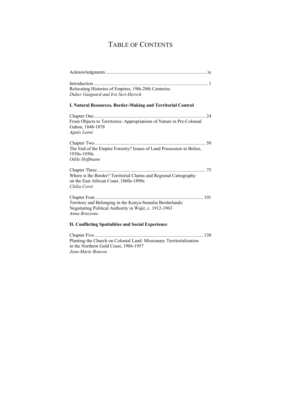# TABLE OF CONTENTS

| Relocating Histories of Empires, 19th-20th Centuries<br>Didier Guignard and Iris Seri-Hersch                                         |
|--------------------------------------------------------------------------------------------------------------------------------------|
| I. Natural Resources, Border-Making and Territorial Control                                                                          |
| From Objects to Territories: Appropriations of Nature in Pre-Colonial<br>Gabon, 1848-1878<br>Agnès Lainé                             |
| The End of the Empire Forestry? Issues of Land Possession in Belize,<br>1930s-1950s<br>Odile Hoffmann                                |
| Where is the Border? Territorial Claims and Regional Cartography<br>on the East African Coast, 1860s-1890s<br>Clélia Coret           |
| Territory and Belonging in the Kenya-Somalia Borderlands:<br>Negotiating Political Authority in Wajir, c. 1912-1963<br>Anna Bruzzone |
| II. Conflicting Spatialities and Social Experience                                                                                   |
| $\sim$ $\sim$                                                                                                                        |

Chapter Five ........................................................................................... 130 Planting the Church on Colonial Land: Missionary Territorialization in the Northern Gold Coast, 1906-1957 *Jean-Marie Bouron*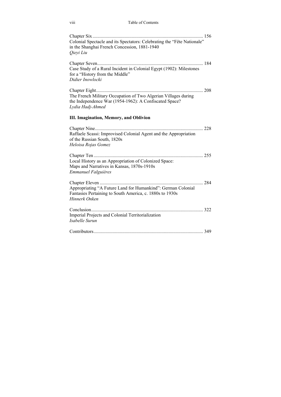viii Table of Contents

| Colonial Spectacle and its Spectators: Celebrating the "Fête Nationale"<br>in the Shanghai French Concession, 1881-1940<br>Qieyi Liu         |
|----------------------------------------------------------------------------------------------------------------------------------------------|
| Case Study of a Rural Incident in Colonial Egypt (1902): Milestones<br>for a "History from the Middle"<br>Didier Inowlocki                   |
| The French Military Occupation of Two Algerian Villages during<br>the Independence War (1954-1962): A Confiscated Space?<br>Lydia Hadj-Ahmed |
| <b>III. Imagination, Memory, and Oblivion</b>                                                                                                |
| Raffaele Scassi: Improvised Colonial Agent and the Appropriation<br>of the Russian South, 1820s<br>Heloisa Rojas Gomez                       |
| Local History as an Appropriation of Colonized Space:<br>Maps and Narratives in Kansas, 1870s-1910s<br><b>Emmanuel Falguières</b>            |
| Appropriating "A Future Land for Humankind": German Colonial<br>Fantasies Pertaining to South America, c. 1880s to 1930s<br>Hinnerk Onken    |
| Imperial Projects and Colonial Territorialization<br>Isabelle Surun                                                                          |
|                                                                                                                                              |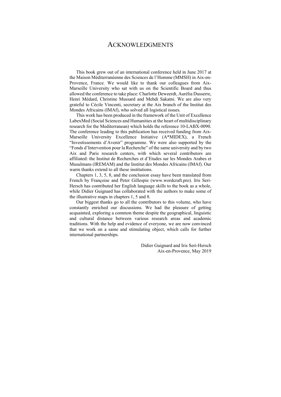## ACKNOWLEDGMENTS

This book grew out of an international conference held in June 2017 at the Maison Méditerranéenne des Sciences de l'Homme (MMSH) in Aix-en-Provence, France. We would like to thank our colleagues from Aix-Marseille University who sat with us on the Scientific Board and thus allowed the conference to take place: Charlotte Deweerdt, Aurélia Dusserre, Henri Médard, Christine Mussard and Mehdi Sakatni. We are also very grateful to Cécile Vincenti, secretary at the Aix branch of the Institut des Mondes Africains (IMAf), who solved all logistical issues.

This work has been produced in the framework of the Unit of Excellence LabexMed (Social Sciences and Humanities at the heart of multidisciplinary research for the Mediterranean) which holds the reference 10-LABX-0090. The conference leading to this publication has received funding from Aix-Marseille University Excellence Initiative (A\*MIDEX), a French "Investissements d'Avenir" programme. We were also supported by the "Fonds d'Intervention pour la Recherche" of the same university and by two Aix and Paris research centers, with which several contributors are affiliated: the Institut de Recherches et d'Etudes sur les Mondes Arabes et Musulmans (IREMAM) and the Institut des Mondes Africains (IMAf). Our warm thanks extend to all these institutions.

Chapters 1, 3, 5, 8, and the conclusion essay have been translated from French by Françoise and Peter Gillespie (www.wordcraft.pro). Iris Seri-Hersch has contributed her English language skills to the book as a whole, while Didier Guignard has collaborated with the authors to make some of the illustrative maps in chapters 1, 5 and 8.

Our biggest thanks go to all the contributors to this volume, who have constantly enriched our discussions. We had the pleasure of getting acquainted, exploring a common theme despite the geographical, linguistic and cultural distance between various research areas and academic traditions. With the help and evidence of everyone, we are now convinced that we work on a same and stimulating object, which calls for further international partnerships.

> Didier Guignard and Iris Seri-Hersch Aix-en-Provence, May 2019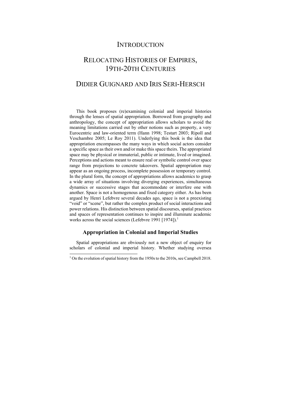## **INTRODUCTION**

## RELOCATING HISTORIES OF EMPIRES, 19TH-20TH CENTURIES

## DIDIER GUIGNARD AND IRIS SERI-HERSCH

This book proposes (re)examining colonial and imperial histories through the lenses of spatial appropriation. Borrowed from geography and anthropology, the concept of appropriation allows scholars to avoid the meaning limitations carried out by other notions such as property, a very Eurocentric and law-oriented term (Hann 1998; Testart 2003; Ripoll and Veschambre 2005; Le Roy 2011). Underlying this book is the idea that appropriation encompasses the many ways in which social actors consider a specific space as their own and/or make this space theirs. The appropriated space may be physical or immaterial, public or intimate, lived or imagined. Perceptions and actions meant to ensure real or symbolic control over space range from projections to concrete takeovers. Spatial appropriation may appear as an ongoing process, incomplete possession or temporary control. In the plural form, the concept of appropriations allows academics to grasp a wide array of situations involving diverging experiences, simultaneous dynamics or successive stages that accommodate or interfere one with another. Space is not a homogenous and fixed category either. As has been argued by Henri Lefebvre several decades ago, space is not a preexisting "void" or "scene", but rather the complex product of social interactions and power relations. His distinction between spatial discourses, spatial practices and spaces of representation continues to inspire and illuminate academic works across the social sciences (Lefebvre 1991 [1974]).<sup>1</sup>

### **Appropriation in Colonial and Imperial Studies**

Spatial appropriations are obviously not a new object of enquiry for scholars of colonial and imperial history. Whether studying oversea

<sup>&</sup>lt;sup>1</sup> On the evolution of spatial history from the 1950s to the 2010s, see Campbell 2018.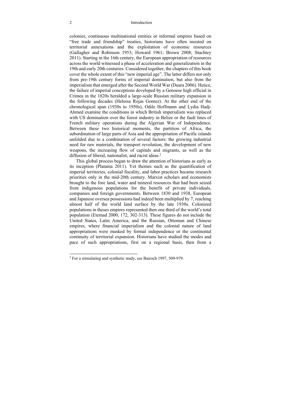#### 2 Introduction

colonies, continuous multinational entities or informal empires based on "free trade and friendship" treaties, historians have often insisted on territorial annexations and the exploitation of economic resources (Gallagher and Robinson 1953; Howard 1961; Brown 2008; Stuchtey 2011). Starting in the 16th century, the European appropriation of resources across the world witnessed a phase of acceleration and generalization in the 19th and early 20th centuries. Considered together, the chapters of this book cover the whole extent of this "new imperial age". The latter differs not only from pre-19th century forms of imperial domination, but also from the imperialism that emerged after the Second World War (Duara 2006). Hence, the failure of imperial conceptions developed by a Genoese high official in Crimea in the 1820s heralded a large-scale Russian military expansion in the following decades (Heloisa Rojas Gomez). At the other end of the chronological span (1930s to 1950s), Odile Hoffmann and Lydia Hadj-Ahmed examine the conditions in which British imperialism was replaced with US domination over the forest industry in Belize or the fault lines of French military operations during the Algerian War of Independence. Between these two historical moments, the partition of Africa, the subordination of large parts of Asia and the appropriation of Pacific islands unfolded due to a combination of several factors: the growing industrial need for raw materials, the transport revolution, the development of new weapons, the increasing flow of capitals and migrants, as well as the diffusion of liberal, nationalist, and racist ideas.<sup>2</sup>

This global process began to draw the attention of historians as early as its inception (Platania 2011). Yet themes such as the quantification of imperial territories, colonial fiscality, and labor practices became research priorities only in the mid-20th century. Marxist scholars and economists brought to the fore land, water and mineral resources that had been seized from indigenous populations for the benefit of private individuals, companies and foreign governments. Between 1830 and 1938, European and Japanese oversea possessions had indeed been multiplied by 7, reaching almost half of the world land surface by the late 1930s. Colonized populations in theses empires represented then one third of the world's total population (Etemad 2000, 172, 302-313). These figures do not include the United States, Latin America, and the Russian, Ottoman and Chinese empires, where financial imperialism and the colonial nature of land appropriations were masked by formal independence or the continental continuity of territorial expansion. Historians have studied the modes and pace of such appropriations, first on a regional basis, then from a

<sup>2</sup> For a stimulating and synthetic study, see Bairoch 1997, 509-979.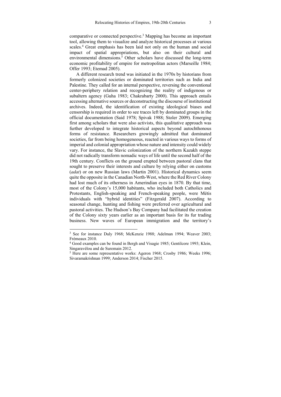comparative or connected perspective.3 Mapping has become an important tool, allowing them to visualize and analyze historical processes at various scales.<sup>4</sup> Great emphasis has been laid not only on the human and social impact of spatial appropriations, but also on their cultural and environmental dimensions.<sup>5</sup> Other scholars have discussed the long-term economic profitability of empire for metropolitan actors (Marseille 1984; Offer 1993; Etemad 2005).

A different research trend was initiated in the 1970s by historians from formerly colonized societies or dominated territories such as India and Palestine. They called for an internal perspective, reversing the conventional center-periphery relation and recognizing the reality of indigenous or subaltern agency (Guha 1983; Chakrabarty 2000). This approach entails accessing alternative sources or deconstructing the discourse of institutional archives. Indeed, the identification of existing ideological biases and censorship is required in order to see traces left by dominated groups in the official documentation (Said 1978; Spivak 1988; Stoler 2009). Emerging first among scholars that were also activists, this qualitative approach was further developed to integrate historical aspects beyond autochthonous forms of resistance. Researchers growingly admitted that dominated societies, far from being homogeneous, reacted in various ways to forms of imperial and colonial appropriation whose nature and intensity could widely vary. For instance, the Slavic colonization of the northern Kazakh steppe did not radically transform nomadic ways of life until the second half of the 19th century. Conflicts on the ground erupted between pastoral clans that sought to preserve their interests and culture by relying either on customs (*adat*) or on new Russian laws (Martin 2001). Historical dynamics seem quite the opposite in the Canadian North-West, where the Red River Colony had lost much of its otherness in Amerindian eyes in 1870. By that time, most of the Colony's 15,000 habitants, who included both Catholics and Protestants, English-speaking and French-speaking people, were Métis individuals with "hybrid identities" (Fitzgerald 2007). According to seasonal change, hunting and fishing were preferred over agricultural and pastoral activities. The Hudson's Bay Company had facilitated the creation of the Colony sixty years earlier as an important basis for its fur trading business. New waves of European immigration and the territory's

<sup>3</sup> See for instance Duly 1968; McKenzie 1988; Adelman 1994; Weaver 2003; Frémeaux 2010.

<sup>4</sup> Good examples can be found in Bergh and Visagie 1985; Gentilcore 1993; Klein, Singaravélou and de Suremain 2012.

<sup>&</sup>lt;sup>5</sup> Here are some representative works: Ageron 1968; Crosby 1986; Weeks 1996; Sivaramakrishnan 1999; Anderson 2014; Fischer 2015.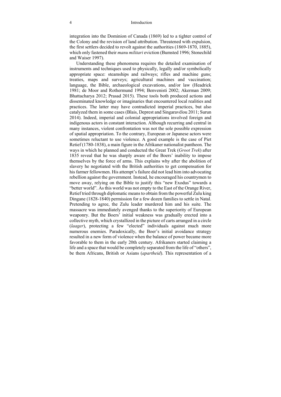integration into the Dominion of Canada (1869) led to a tighter control of the Colony and the revision of land attribution. Threatened with expulsion, the first settlers decided to revolt against the authorities (1869-1870, 1885), which only fastened their *manu militari* eviction (Bumsted 1996; Stonechild and Waiser 1997).

Understanding these phenomena requires the detailed examination of instruments and techniques used to physically, legally and/or symbolically appropriate space: steamships and railways; rifles and machine guns; treaties, maps and surveys; agricultural machines and vaccination; language, the Bible, archaeological excavations, and/or law (Headrick 1981; de Moor and Rothermund 1994; Benvenisti 2002; Akerman 2009; Bhattacharya 2012; Prasad 2015). These tools both produced actions and disseminated knowledge or imaginaries that encountered local realities and practices. The latter may have contradicted imperial practices, but also catalyzed them in some cases (Blais, Deprest and Singaravélou 2011; Surun 2014). Indeed, imperial and colonial appropriations involved foreign and indigenous actors in constant interaction. Although recurring and central in many instances, violent confrontation was not the sole possible expression of spatial appropriation. To the contrary, European or Japanese actors were sometimes reluctant to use violence. A good example is the case of Piet Retief (1780-1838), a main figure in the Afrikaner nationalist pantheon. The ways in which he planned and conducted the Great Trek (*Groot Trek*) after 1835 reveal that he was sharply aware of the Boers' inability to impose themselves by the force of arms. This explains why after the abolition of slavery he negotiated with the British authorities to get compensation for his farmer fellowmen. His attempt's failure did not lead him into advocating rebellion against the government. Instead, he encouraged his countrymen to move away, relying on the Bible to justify this "new Exodus" towards a "better world". As this world was not empty to the East of the Orange River, Retief tried through diplomatic means to obtain from the powerful Zulu king Dingane (1828-1840) permission for a few dozen families to settle in Natal. Pretending to agree, the Zulu leader murdered him and his suite. The massacre was immediately avenged thanks to the superiority of European weaponry. But the Boers' initial weakness was gradually erected into a collective myth, which crystallized in the picture of carts arranged in a circle (*laager*), protecting a few "elected" individuals against much more numerous enemies. Paradoxically, the Boer's initial avoidance strategy resulted in a new form of violence when the balance of power became more favorable to them in the early 20th century. Afrikaners started claiming a life and a space that would be completely separated from the life of "others", be them Africans, British or Asians (*apartheid*). This representation of a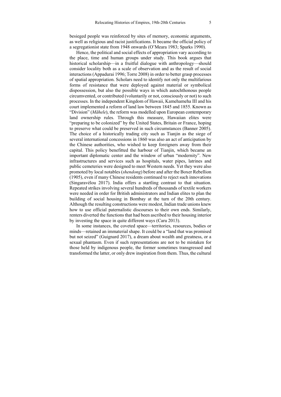besieged people was reinforced by sites of memory, economic arguments, as well as religious and racist justifications. It became the official policy of a segregationist state from 1948 onwards (O'Meara 1983; Sparks 1990).

Hence, the political and social effects of appropriation vary according to the place, time and human groups under study. This book argues that historical scholarship—in a fruitful dialogue with anthropology—should consider locality both as a scale of observation and as the result of social interactions (Appadurai 1996; Torre 2008) in order to better grasp processes of spatial appropriation. Scholars need to identify not only the multifarious forms of resistance that were deployed against material or symbolical dispossession, but also the possible ways in which autochthonous people circumvented, or contributed (voluntarily or not, consciously or not) to such processes. In the independent Kingdom of Hawaii, Kamehameha III and his court implemented a reform of land law between 1845 and 1855. Known as "Division" (*Māhele*), the reform was modelled upon European contemporary land ownership rules. Through this measure, Hawaiian elites were "preparing to be colonized" by the United States, Britain or France, hoping to preserve what could be preserved in such circumstances (Banner 2005). The choice of a historically trading city such as Tianjin as the siege of several international concessions in 1860 was also an act of anticipation by the Chinese authorities, who wished to keep foreigners away from their capital. This policy benefitted the harbour of Tianjin, which became an important diplomatic center and the window of urban "modernity". New infrastructures and services such as hospitals, water pipes, latrines and public cemeteries were designed to meet Western needs. Yet they were also promoted by local notables (*shendong*) before and after the Boxer Rebellion (1905), even if many Chinese residents continued to reject such innovations (Singaravélou 2017). India offers a startling contrast to that situation. Repeated strikes involving several hundreds of thousands of textile workers were needed in order for British administrators and Indian elites to plan the building of social housing in Bombay at the turn of the 20th century. Although the resulting constructions were modest, Indian trade unions knew how to use official paternalistic discourses to their own ends. Similarly, renters diverted the functions that had been ascribed to their housing interior by investing the space in quite different ways (Caru 2013).

In some instances, the coveted space—territories, resources, bodies or minds—retained an immaterial shape. It could be a "land that was promised but not seized" (Guignard 2017), a dream about wealth and greatness, or a sexual phantasm. Even if such representations are not to be mistaken for those held by indigenous people, the former sometimes transgressed and transformed the latter, or only drew inspiration from them. Thus, the cultural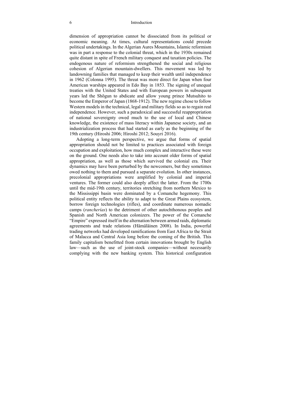dimension of appropriation cannot be dissociated from its political or economic meaning. At times, cultural representations could precede political undertakings. In the Algerian Aures Mountains, Islamic reformism was in part a response to the colonial threat, which in the 1930s remained quite distant in spite of French military conquest and taxation policies. The endogenous nature of reformism strengthened the social and religious cohesion of Algerian mountain-dwellers. This movement was led by landowning families that managed to keep their wealth until independence in 1962 (Colonna 1995). The threat was more direct for Japan when four American warships appeared in Edo Bay in 1853. The signing of unequal treaties with the United States and with European powers in subsequent years led the Shōgun to abdicate and allow young prince Mutsuhito to become the Emperor of Japan (1868-1912). The new regime chose to follow Western models in the technical, legal and military fields so as to regain real independence. However, such a paradoxical and successful reappropriation of national sovereignty owed much to the use of local and Chinese knowledge, the existence of mass literacy within Japanese society, and an industrialization process that had started as early as the beginning of the 19th century (Hiroshi 2006; Hiroshi 2012; Souyri 2016).

Adopting a long-term perspective, we argue that forms of spatial appropriation should not be limited to practices associated with foreign occupation and exploitation, how much complex and interactive these were on the ground. One needs also to take into account older forms of spatial appropriation, as well as those which survived the colonial era. Their dynamics may have been perturbed by the newcomers, but they sometimes owed nothing to them and pursued a separate evolution. In other instances, precolonial appropriations were amplified by colonial and imperial ventures. The former could also deeply affect the latter. From the 1700s until the mid-19th century, territories stretching from northern Mexico to the Mississippi basin were dominated by a Comanche hegemony. This political entity reflects the ability to adapt to the Great Plains ecosystem, borrow foreign technologies (rifles), and coordinate numerous nomadic camps (*rancherías*) to the detriment of other autochthonous peoples and Spanish and North American colonizers. The power of the Comanche "Empire" expressed itself in the alternation between armed raids, diplomatic agreements and trade relations (Hämäläinen 2008). In India, powerful trading networks had developed ramifications from East Africa to the Strait of Malacca and Central Asia long before the coming of the British. This family capitalism benefitted from certain innovations brought by English law—such as the use of joint-stock companies—without necessarily complying with the new banking system. This historical configuration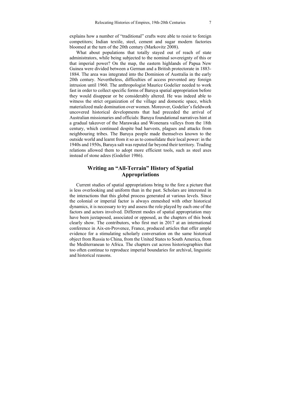explains how a number of "traditional" crafts were able to resist to foreign competitors; Indian textile, steel, cement and sugar modern factories bloomed at the turn of the 20th century (Markovitz 2008).

What about populations that totally stayed out of reach of state administrators, while being subjected to the nominal sovereignty of this or that imperial power? On the map, the eastern highlands of Papua New Guinea were divided between a German and a British protectorate in 1883- 1884. The area was integrated into the Dominion of Australia in the early 20th century. Nevertheless, difficulties of access prevented any foreign intrusion until 1960. The anthropologist Maurice Godelier needed to work fast in order to collect specific forms of Baruya spatial appropriation before they would disappear or be considerably altered. He was indeed able to witness the strict organization of the village and domestic space, which materialized male domination over women. Moreover, Godelier's fieldwork uncovered historical developments that had preceded the arrival of Australian missionaries and officials: Baruya foundational narratives hint at a gradual takeover of the Marawaka and Wonenara valleys from the 18th century, which continued despite bad harvests, plagues and attacks from neighbouring tribes. The Baruya people made themselves known to the outside world and learnt from it so as to consolidate their local power: in the 1940s and 1950s, Baruya salt was reputed far beyond their territory. Trading relations allowed them to adopt more efficient tools, such as steel axes instead of stone adzes (Godelier 1986).

### **Writing an "All-Terrain" History of Spatial Appropriations**

Current studies of spatial appropriations bring to the fore a picture that is less overlooking and uniform than in the past. Scholars are interested in the interactions that this global process generated at various levels. Since the colonial or imperial factor is always enmeshed with other historical dynamics, it is necessary to try and assess the role played by each one of the factors and actors involved. Different modes of spatial appropriation may have been juxtaposed, associated or opposed, as the chapters of this book clearly show. The contributors, who first met in 2017 at an international conference in Aix-en-Provence, France, produced articles that offer ample evidence for a stimulating scholarly conversation on the same historical object from Russia to China, from the United States to South America, from the Mediterranean to Africa. The chapters cut across historiographies that too often continue to reproduce imperial boundaries for archival, linguistic and historical reasons.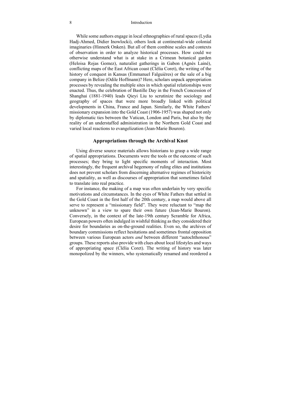#### 8 Introduction

While some authors engage in local ethnographies of rural spaces (Lydia Hadj-Ahmed, Didier Inowlocki), others look at continental-wide colonial imaginaries (Hinnerk Onken). But all of them combine scales and contexts of observation in order to analyze historical processes. How could we otherwise understand what is at stake in a Crimean botanical garden (Heloisa Rojas Gomez), naturalist gatherings in Gabon (Agnès Lainé), conflicting maps of the East African coast (Clélia Coret), the writing of the history of conquest in Kansas (Emmanuel Falguières) or the sale of a big company in Belize (Odile Hoffmann)? Here, scholars unpack appropriation processes by revealing the multiple sites in which spatial relationships were enacted. Thus, the celebration of Bastille Day in the French Concession of Shanghai (1881-1940) leads Qieyi Liu to scrutinize the sociology and geography of spaces that were more broadly linked with political developments in China, France and Japan. Similarly, the White Fathers' missionary expansion into the Gold Coast (1906-1957) was shaped not only by diplomatic ties between the Vatican, London and Paris, but also by the reality of an understaffed administration in the Northern Gold Coast and varied local reactions to evangelization (Jean-Marie Bouron).

#### **Appropriations through the Archival Knot**

Using diverse source materials allows historians to grasp a wide range of spatial appropriations. Documents were the tools or the outcome of such processes; they bring to light specific moments of interaction. Most interestingly, the frequent archival hegemony of ruling elites and institutions does not prevent scholars from discerning alternative regimes of historicity and spatiality, as well as discourses of appropriation that sometimes failed to translate into real practice.

For instance, the making of a map was often underlain by very specific motivations and circumstances. In the eyes of White Fathers that settled in the Gold Coast in the first half of the 20th century, a map would above all serve to represent a "missionary field". They were reluctant to "map the unknown" in a view to spare their own future (Jean-Marie Bouron). Conversely, in the context of the late-19th century Scramble for Africa, European powers often indulged in wishful thinking as they considered their desire for boundaries as on-the-ground realities. Even so, the archives of boundary commissions reflect hesitations and sometimes frontal opposition between various European actors *and* between different "autochthonous" groups. These reports also provide with clues about local lifestyles and ways of appropriating space (Clélia Coret). The writing of history was later monopolized by the winners, who systematically renamed and reordered a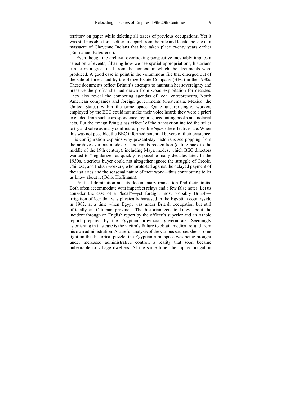territory on paper while deleting all traces of previous occupations. Yet it was still possible for a settler to depart from the rule and locate the site of a massacre of Cheyenne Indians that had taken place twenty years earlier (Emmanuel Falguières).

Even though the archival overlooking perspective inevitably implies a selection of events, filtering how we see spatial appropriations, historians can learn a great deal from the context in which the documents were produced. A good case in point is the voluminous file that emerged out of the sale of forest land by the Belize Estate Company (BEC) in the 1930s. These documents reflect Britain's attempts to maintain her sovereignty and preserve the profits she had drawn from wood exploitation for decades. They also reveal the competing agendas of local entrepreneurs, North American companies and foreign governments (Guatemala, Mexico, the United States) within the same space. Quite unsurprisingly, workers employed by the BEC could not make their voice heard; they were a priori excluded from such correspondence, reports, accounting books and notarial acts. But the "magnifying glass effect" of the transaction incited the seller to try and solve as many conflicts as possible *before* the effective sale. When this was not possible, the BEC informed potential buyers of their existence. This configuration explains why present-day historians see popping from the archives various modes of land rights recognition (dating back to the middle of the 19th century), including Maya modes, which BEC directors wanted to "regularize" as quickly as possible many decades later. In the 1930s, a serious buyer could not altogether ignore the struggle of Creole, Chinese, and Indian workers, who protested against the delayed payment of their salaries and the seasonal nature of their work—thus contributing to let us know about it (Odile Hoffmann).

Political domination and its documentary translation find their limits. Both often accommodate with imperfect relays and a few false notes. Let us consider the case of a "local"—yet foreign, most probably British irrigation officer that was physically harassed in the Egyptian countryside in 1902, at a time when Egypt was under British occupation but still officially an Ottoman province. The historian gets to know about the incident through an English report by the officer's superior and an Arabic report prepared by the Egyptian provincial governorate. Seemingly astonishing in this case is the victim's failure to obtain medical refund from his own administration. A careful analysis of the various sources sheds some light on this historical puzzle: the Egyptian rural space was being brought under increased administrative control, a reality that soon became unbearable to village dwellers. At the same time, the injured irrigation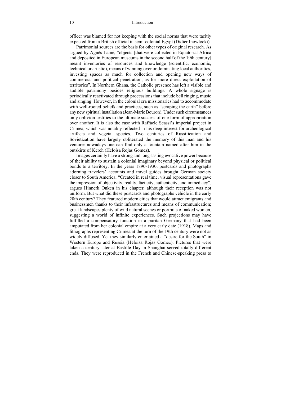officer was blamed for not keeping with the social norms that were tacitly expected from a British official in semi-colonial Egypt (Didier Inowlocki).

Patrimonial sources are the basis for other types of original research. As argued by Agnès Lainé, "objects [that were collected in Equatorial Africa and deposited in European museums in the second half of the 19th century] meant inventories of resources and knowledge (scientific, economic, technical or artistic), means of winning over or dominating local authorities, investing spaces as much for collection and opening new ways of commercial and political penetration, as for more direct exploitation of territories". In Northern Ghana, the Catholic presence has left a visible and audible patrimony besides religious buildings. A whole signage is periodically reactivated through processions that include bell ringing, music and singing. However, in the colonial era missionaries had to accommodate with well-rooted beliefs and practices, such as "scraping the earth" before any new spiritual installation (Jean-Marie Bouron). Under such circumstances only oblivion testifies to the ultimate success of one form of appropriation over another. It is also the case with Raffaele Scassi's imperial project in Crimea, which was notably reflected in his deep interest for archeological artifacts and vegetal species. Two centuries of Russification and Sovietization have largely obliterated the memory of this man and his venture: nowadays one can find only a fountain named after him in the outskirts of Kerch (Heloisa Rojas Gomez).

Images certainly have a strong and long-lasting evocative power because of their ability to sustain a colonial imaginary beyond physical or political bonds to a territory. In the years 1890-1930, postcards and photographs adorning travelers' accounts and travel guides brought German society closer to South America. "Created in real time, visual representations gave the impression of objectivity, reality, facticity, authenticity, and immediacy", argues Hinnerk Onken in his chapter, although their reception was not uniform. But what did these postcards and photographs vehicle in the early 20th century? They featured modern cities that would attract emigrants and businessmen thanks to their infrastructures and means of communication; great landscapes plenty of wild natural scenes or portraits of naked women, suggesting a world of infinite experiences. Such projections may have fulfilled a compensatory function in a puritan Germany that had been amputated from her colonial empire at a very early date (1918). Maps and lithographs representing Crimea at the turn of the 19th century were not as widely diffused. Yet they similarly entertained a "desire for the South" in Western Europe and Russia (Heloisa Rojas Gomez). Pictures that were taken a century later at Bastille Day in Shanghai served totally different ends. They were reproduced in the French and Chinese-speaking press to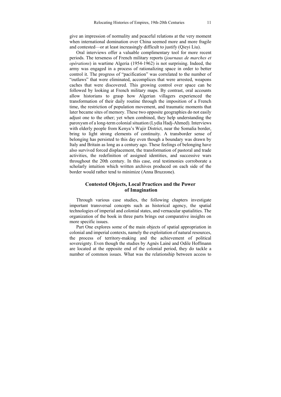give an impression of normality and peaceful relations at the very moment when international domination over China seemed more and more fragile and contested—or at least increasingly difficult to justify (Qieyi Liu).

Oral interviews offer a valuable complimentary tool for more recent periods. The terseness of French military reports (*journaux de marches et opérations*) in wartime Algeria (1954-1962) is not surprising. Indeed, the army was engaged in a process of rationalizing space in order to better control it. The progress of "pacification" was correlated to the number of "outlaws" that were eliminated, accomplices that were arrested, weapons caches that were discovered. This growing control over space can be followed by looking at French military maps. By contrast, oral accounts allow historians to grasp how Algerian villagers experienced the transformation of their daily routine through the imposition of a French time, the restriction of population movement, and traumatic moments that later became sites of memory. These two opposite geographies do not easily adjust one to the other; yet when combined, they help understanding the paroxysm of a long-term colonial situation (Lydia Hadj-Ahmed). Interviews with elderly people from Kenya's Wajir District, near the Somalia border, bring to light strong elements of continuity. A transborder sense of belonging has persisted to this day even though a boundary was drawn by Italy and Britain as long as a century ago. These feelings of belonging have also survived forced displacement, the transformation of pastoral and trade activities, the redefinition of assigned identities, and successive wars throughout the 20th century. In this case, oral testimonies corroborate a scholarly intuition which written archives produced on each side of the border would rather tend to minimize (Anna Bruzzone).

#### **Contested Objects, Local Practices and the Power of Imagination**

Through various case studies, the following chapters investigate important transversal concepts such as historical agency, the spatial technologies of imperial and colonial states, and vernacular spatialities. The organization of the book in three parts brings out comparative insights on more specific issues.

Part One explores some of the main objects of spatial appropriation in colonial and imperial contexts, namely the exploitation of natural resources, the process of territory-making and the achievement of political sovereignty. Even though the studies by Agnès Lainé and Odile Hoffmann are located at the opposite end of the colonial period, they do tackle a number of common issues. What was the relationship between access to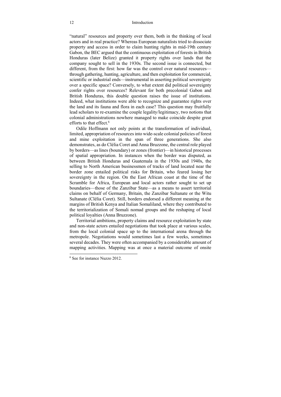"natural" resources and property over them, both in the thinking of local actors and in real practice? Whereas European naturalists tried to dissociate property and access in order to claim hunting rights in mid-19th century Gabon, the BEC argued that the continuous exploitation of forests in British Honduras (later Belize) granted it property rights over lands that the company sought to sell in the 1930s. The second issue is connected, but different, from the first: how far was the control over natural resources through gathering, hunting, agriculture, and then exploitation for commercial, scientific or industrial ends—instrumental in asserting political sovereignty over a specific space? Conversely, to what extent did political sovereignty confer rights over resources? Relevant for both precolonial Gabon and British Honduras, this double question raises the issue of institutions. Indeed, what institutions were able to recognize and guarantee rights over the land and its fauna and flora in each case? This question may fruitfully lead scholars to re-examine the couple legality/legitimacy, two notions that colonial administrations nowhere managed to make coincide despite great efforts to that effect.<sup>6</sup>

Odile Hoffmann not only points at the transformation of individual, limited, appropriation of resources into wide-scale colonial policies of forest and mine exploitation in the span of three generations. She also demonstrates, as do Clélia Coret and Anna Bruzzone, the central role played by borders—as lines (boundary) or zones (frontier)—in historical processes of spatial appropriation. In instances when the border was disputed, as between British Honduras and Guatemala in the 1930s and 1940s, the selling to North American businessmen of tracks of land located near the border zone entailed political risks for Britain, who feared losing her sovereignty in the region. On the East African coast at the time of the Scramble for Africa, European and local actors rather sought to set up boundaries—those of the Zanzibar State—as a means to assert territorial claims on behalf of Germany, Britain, the Zanzibar Sultanate or the Witu Sultanate (Clélia Coret). Still, borders endorsed a different meaning at the margins of British Kenya and Italian Somaliland, where they contributed to the territorialization of Somali nomad groups and the reshaping of local political loyalties (Anna Bruzzone).

Territorial ambitions, property claims and resource exploitation by state and non-state actors entailed negotiations that took place at various scales, from the local colonial space up to the international arena through the metropole. Negotiations would sometimes last a few weeks, sometimes several decades. They were often accompanied by a considerable amount of mapping activities. Mapping was at once a material outcome of onsite

<sup>6</sup> See for instance Nuzzo 2012.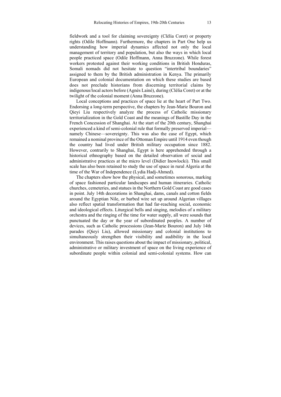fieldwork and a tool for claiming sovereignty (Clélia Coret) or property rights (Odile Hoffmann). Furthermore, the chapters in Part One help us understanding how imperial dynamics affected not only the local management of territory and population, but also the ways in which local people practiced space (Odile Hoffmann, Anna Bruzzone). While forest workers protested against their working conditions in British Honduras, Somali nomads did not hesitate to question "intertribal boundaries" assigned to them by the British administration in Kenya. The primarily European and colonial documentation on which these studies are based does not preclude historians from discerning territorial claims by indigenous/local actors before (Agnès Lainé), during (Clélia Coret) or at the twilight of the colonial moment (Anna Bruzzone).

Local conceptions and practices of space lie at the heart of Part Two. Endorsing a long-term perspective, the chapters by Jean-Marie Bouron and Qieyi Liu respectively analyze the process of Catholic missionary territorialization in the Gold Coast and the meanings of Bastille Day in the French Concession of Shanghai. At the start of the 20th century, Shanghai experienced a kind of semi-colonial rule that formally preserved imperial namely Chinese—sovereignty. This was also the case of Egypt, which remained a nominal province of the Ottoman Empire until 1914 even though the country had lived under British military occupation since 1882. However, contrarily to Shanghai, Egypt is here apprehended through a historical ethnography based on the detailed observation of social and administrative practices at the micro level (Didier Inowlocki). This small scale has also been retained to study the use of space in rural Algeria at the time of the War of Independence (Lydia Hadj-Ahmed).

The chapters show how the physical, and sometimes sonorous, marking of space fashioned particular landscapes and human itineraries. Catholic churches, cemeteries, and statues in the Northern Gold Coast are good cases in point. July 14th decorations in Shanghai, dams, canals and cotton fields around the Egyptian Nile, or barbed wire set up around Algerian villages also reflect spatial transformation that had far-reaching social, economic and ideological effects. Liturgical bells and singing, melodies of a military orchestra and the ringing of the time for water supply, all were sounds that punctuated the day or the year of subordinated peoples. A number of devices, such as Catholic processions (Jean-Marie Bouron) and July 14th parades (Qieyi Liu), allowed missionary and colonial institutions to simultaneously strengthen their visibility and audibility in the local environment. This raises questions about the impact of missionary, political, administrative or military investment of space on the living experience of subordinate people within colonial and semi-colonial systems. How can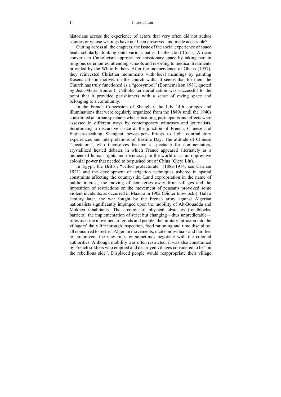historians access the experience of actors that very often did not author sources or whose writings have not been preserved and made accessible?

Cutting across all the chapters, the issue of the social experience of space leads scholarly thinking onto various paths. In the Gold Coast, African converts to Catholicism appropriated missionary space by taking part in religious ceremonies, attending schools and resorting to medical treatments provided by the White Fathers. After the independence of Ghana (1957), they reinvested Christian monuments with local meanings by painting Kasena artistic motives on the church walls. It seems that for them the Church has truly functioned as a "geosymbol" (Bonnemaison 1981, quoted by Jean-Marie Bouron): Catholic territorialization was successful to the point that it provided parishioners with a sense of owing space and belonging to a community.

In the French Concession of Shanghai, the July 14th corteges and illuminations that were regularly organized from the 1880s until the 1940s constituted an urban spectacle whose meaning, participants and effects were assessed in different ways by contemporary witnesses and journalists. Scrutinizing a discursive space at the junction of French, Chinese and English-speaking Shanghai newspapers brings to light contradictory experiences and interpretations of Bastille Day. The attitude of Chinese "spectators", who themselves became a spectacle for commentators, crystallized heated debates in which France appeared alternately as a pioneer of human rights and democracy in the world or as an oppressive colonial power that needed to be pushed out of China (Qieyi Liu).

In Egypt, the British "veiled protectorate" (1882-1914, see Carman 1921) and the development of irrigation techniques ushered in spatial constraints affecting the countryside. Land expropriation in the name of public interest, the moving of cemeteries away from villages and the imposition of restrictions on the movement of peasants provoked some violent incidents, as occurred in Mazura in 1902 (Didier Inowlocki). Half a century later, the war fought by the French army against Algerian nationalists significantly impinged upon the mobility of Ait-Bouadda and Moknéa inhabitants. The erection of physical obstacles (roadblocks, barriers), the implementation of strict but changing—thus unpredictable rules over the movement of goods and people, the military intrusion into the villagers' daily life through inspection, food rationing and time discipline, all concurred to restrict Algerian movements, incite individuals and families to circumvent the new rules or sometimes negotiate with the colonial authorities. Although mobility was often restricted, it was also constrained by French soldiers who emptied and destroyed villages considered to be "on the rebellious side". Displaced people would reappropriate their village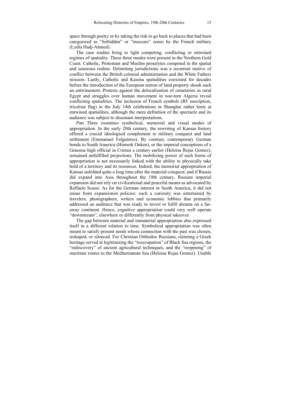space through poetry or by taking the risk to go back to places that had been categorized as "forbidden" or "insecure" zones by the French military (Lydia Hadj-Ahmed).

The case studies bring to light competing, conflicting or entwined regimes of spatiality. These three modes were present in the Northern Gold Coast. Catholic, Protestant and Muslim proselytes competed in the spatial and sonorous realms. Delimiting jurisdictions was a recurrent motive of conflict between the British colonial administration and the White Fathers mission. Lastly, Catholic and Kasena spatialities coexisted for decades before the introduction of the European notion of land property shook such an entwinement. Protests against the delocalization of cemeteries in rural Egypt and struggles over human movement in war-torn Algeria reveal conflicting spatialities. The inclusion of French symbols (RF inscription, tricolour flag) in the July 14th celebrations in Shanghai rather hints at entwined spatialities, although the mere definition of the spectacle and its audience was subject to dissonant interpretations.

Part Three examines symbolical, memorial and visual modes of appropriation. In the early 20th century, the rewriting of Kansas history offered a crucial ideological complement to military conquest and land settlement (Emmanuel Falguières). By contrast, contemporary German bonds to South America (Hinnerk Onken), or the imperial conceptions of a Genoese high official in Crimea a century earlier (Heloisa Rojas Gomez), remained unfulfilled projections. The mobilizing power of such forms of appropriation is not necessarily linked with the ability to physically take hold of a territory and its resources. Indeed, the memorial appropriation of Kansas unfolded quite a long time after the material conquest; and if Russia did expand into Asia throughout the 19th century, Russian imperial expansion did not rely on civilizational and peaceful means as advocated by Raffaele Scassi. As for the German interest in South America, it did not ensue from expansionist policies: such a curiosity was entertained by travelers, photographers, writers and economic lobbies that primarily addressed an audience that was ready to invest or fulfil dreams on a faraway continent. Hence, cognitive appropriation could very well operate "downstream", elsewhere or differently from physical takeover.

The gap between material and immaterial appropriation also expressed itself in a different relation to time. Symbolical appropriation was often meant to satisfy present needs whose connection with the past was chosen, reshaped, or silenced. For Christian Orthodox Russians, claiming a Greek heritage served at legitimizing the "reoccupation" of Black Sea regions, the "rediscovery" of ancient agricultural techniques, and the "reopening" of maritime routes to the Mediterranean Sea (Heloisa Rojas Gomez). Unable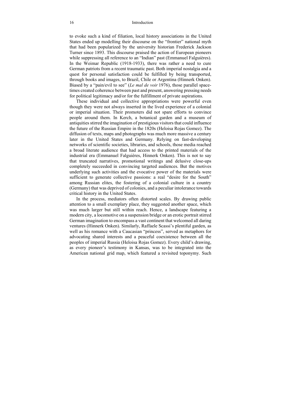#### 16 Introduction

to evoke such a kind of filiation, local history associations in the United States ended up modelling their discourse on the "frontier" national myth that had been popularized by the university historian Frederick Jackson Turner since 1893. This discourse praised the action of European pioneers while suppressing all reference to an "Indian" past (Emmanuel Falguières). In the Weimar Republic (1918-1933), there was rather a need to cure German patriots from a recent traumatic past. Both imperial nostalgia and a quest for personal satisfaction could be fulfilled by being transported, through books and images, to Brazil, Chile or Argentina (Hinnerk Onken). Biased by a "pain/evil to see" (*Le mal de voir* 1976), those parallel spacetimes created coherence between past and present, answering pressing needs for political legitimacy and/or for the fulfillment of private aspirations.

These individual and collective appropriations were powerful even though they were not always inserted in the lived experience of a colonial or imperial situation. Their promoters did not spare efforts to convince people around them. In Kerch, a botanical garden and a museum of antiquities stirred the imagination of prestigious visitors that could influence the future of the Russian Empire in the 1820s (Heloisa Rojas Gomez). The diffusion of texts, maps and photographs was much more massive a century later in the United States and Germany. Relying on fast-developing networks of scientific societies, libraries, and schools, those media reached a broad literate audience that had access to the printed materials of the industrial era (Emmanuel Falguières, Hinnerk Onken). This is not to say that truncated narratives, promotional writings and delusive close-ups completely succeeded in convincing targeted audiences. But the motives underlying such activities and the evocative power of the materials were sufficient to generate collective passions: a real "desire for the South" among Russian elites, the fostering of a colonial culture in a country (Germany) that was deprived of colonies, and a peculiar intolerance towards critical history in the United States.

In the process, mediators often distorted scales. By drawing public attention to a small exemplary place, they suggested another space, which was much larger but still within reach. Hence, a landscape featuring a modern city, a locomotive on a suspension bridge or an erotic portrait stirred German imagination to encompass a vast continent that welcomed all daring ventures (Hinnerk Onken). Similarly, Raffaele Scassi's plentiful garden, as well as his romance with a Caucasian "princess", served as metaphors for advocating shared interests and a peaceful coexistence between all the peoples of imperial Russia (Heloisa Rojas Gomez). Every child's drawing, as every pioneer's testimony in Kansas, was to be integrated into the American national grid map, which featured a revisited toponymy. Such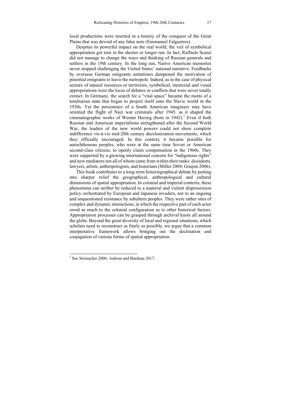local productions were inserted in a history of the conquest of the Great Plains that was devoid of any false note (Emmanuel Falguières).

Despites its powerful impact on the real world, the veil of symbolical appropriation got torn in the shorter or longer run. In fact, Raffaele Scassi did not manage to change the ways and thinking of Russian generals and settlers in the 19th century. In the long run, Native American memories never stopped challenging the United States' national narrative. Feedbacks by overseas German emigrants sometimes dampened the motivation of potential emigrants to leave the metropole. Indeed, as in the case of physical seizure of natural resources or territories, symbolical, memorial and visual appropriations were the locus of debates or conflicts that were never totally extinct. In Germany, the search for a "vital space" became the motto of a totalitarian state that began to project itself onto the Slavic world in the 1930s. Yet the persistence of a South American imaginary may have oriented the flight of Nazi war criminals after 1945, as it shaped the cinematographic works of Werner Herzog (born in 1942).<sup>7</sup> Even if both Russian and American imperialisms strengthened after the Second World War, the leaders of the new world powers could not show complete indifference vis-à-vis mid-20th century decolonization movements, which they officially encouraged. In this context, it became possible for autochthonous peoples, who were at the same time Soviet or American second-class citizens, to openly claim compensation in the 1960s. They were supported by a growing international concern for "indigenous rights" and new mediators not all of whom came from within their ranks: dissidents, lawyers, artists, anthropologists, and historians (Miller 2004; Goujon 2006).

This book contributes to a long-term historiographical debate by putting into sharper relief the geographical, anthropological and cultural dimensions of spatial appropriation. In colonial and imperial contexts, these phenomena can neither be reduced to a material and violent dispossession policy orchestrated by European and Japanese invaders, nor to an ongoing and unquestioned resistance by subaltern peoples. They were rather sites of complex and dynamic interactions, in which the respective part of each actor owed as much to the colonial configuration as to other historical factors. Appropriation processes can be grasped through archival knots all around the globe. Beyond the great diversity of local and regional situations, which scholars need to reconstruct as finely as possible, we argue that a common interpretative framework allows bringing out the declination and conjugation of various forms of spatial appropriation.

<sup>7</sup> See Steinacher 2006; Aubron and Burdeau 2017.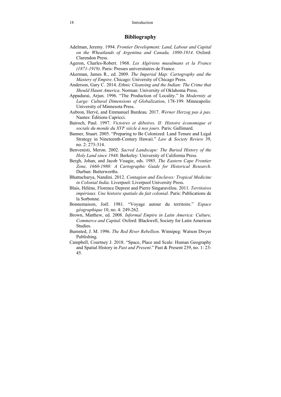### **Bibliography**

- Adelman, Jeremy. 1994. *Frontier Development: Land, Labour and Capital on the Wheatlands of Argentina and Canada, 1890-1914*. Oxford: Clarendon Press.
- Ageron, Charles-Robert. 1968. *Les Algériens musulmans et la France (1871-1919)*. Paris: Presses universitaires de France.
- Akerman, James R., ed. 2009. *The Imperial Map: Cartography and the Mastery of Empire*. Chicago: University of Chicago Press.
- Anderson, Gary C. 2014. *Ethnic Cleansing and the Indian: The Crime that Should Haunt America*. Norman: University of Oklahoma Press.
- Appadurai, Arjun. 1996. "The Production of Locality." In *Modernity at Large: Cultural Dimensions of Globalization*, 178-199. Minneapolis: University of Minnesota Press.
- Aubron, Hervé, and Emmanuel Burdeau. 2017. *Werner Herzog pas à pas*. Nantes: Éditions Capricci.
- Bairoch, Paul. 1997. *Victoires et déboires. II: Histoire économique et sociale du monde du XVIe siècle à nos jours*. Paris: Gallimard.
- Banner, Stuart. 2005. "Preparing to Be Colonized: Land Tenure and Legal Strategy in Nineteenth-Century Hawaii." *Law & Society Review* 39, no. 2: 273-314.
- Benvenisti, Meron. 2002. *Sacred Landscape: The Buried History of the Holy Land since 1948*. Berkeley: University of California Press.
- Bergh, Johan, and Jacob Visagie, eds. 1985. *The Eastern Cape Frontier Zone, 1660-1980: A Cartographic Guide for Historical Research*. Durban: Butterworths.
- Bhattacharya, Nandini. 2012. *Contagion and Enclaves: Tropical Medicine in Colonial India*. Liverpool: Liverpool University Press.
- Blais, Hélène, Florence Deprest and Pierre Singaravélou. 2011. *Territoires impériaux. Une histoire spatiale du fait colonial*. Paris: Publications de la Sorbonne.
- Bonnemaison, Joël. 1981. "Voyage autour du territoire." *Espace géographique* 10, no. 4: 249-262.
- Brown, Matthew, ed. 2008. *Informal Empire in Latin America: Culture, Commerce and Capital*. Oxford: Blackwell, Society for Latin American Studies.
- Bumsted, J. M. 1996. *The Red River Rebellion*. Winnipeg: Watson Dwyer Publishing.
- Campbell, Courtney J. 2018. "Space, Place and Scale: Human Geography and Spatial History in *Past and Present*." Past & Present 239, no. 1: 23- 45.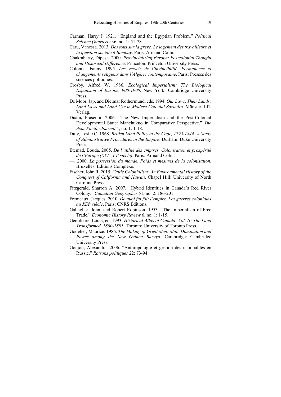- Carman, Harry J. 1921. "England and the Egyptian Problem." *Political Science Quarterly* 36, no. 1: 51-78.
- Caru, Vanessa. 2013. *Des toits sur la grève. Le logement des travailleurs et la question sociale à Bombay*. Paris: Armand Colin.
- Chakrabarty, Dipesh. 2000. *Provincializing Europe: Postcolonial Thought and Historical Difference*. Princeton: Princeton University Press.
- Colonna, Fanny. 1995. *Les versets de l'invincibilité. Permanence et changements religieux dans l'Algérie contemporaine*. Paris: Presses des sciences politiques.
- Crosby, Alfred W. 1986. *Ecological Imperialism: The Biological Expansion of Europe, 900-1900*. New York: Cambridge University Press.
- De Moor, Jap, and Dietmar Rothermund, eds. 1994. *Our Laws, Their Lands: Land Laws and Land Use in Modern Colonial Societies*. Münster: LIT Verlag.
- Duara**,** Prasenjit. 2006. "The New Imperialism and the Post-Colonial Developmental State: Manchukuo in Comparative Perspective." *The Asia-Pacific Journal* 4, no. 1: 1-18.
- Duly, Leslie C. 1968. *British Land Policy at the Cape, 1795-1844: A Study of Administrative Procedures in the Empire*. Durham: Duke University Press.
- Etemad, Bouda. 2005. *De l'utilité des empires. Colonisation et prospérité de l'Europe (XVIe -XXe siècle)*. Paris: Armand Colin.
- —. 2000. *La possession du monde. Poids et mesures de la colonisation*. Bruxelles: Éditions Complexe.
- Fischer, John R. 2015. *Cattle Colonialism: An Environmental History of the Conquest of California and Hawaii*. Chapel Hill: University of North Carolina Press.
- Fitzgerald, Sharron A. 2007. "Hybrid Identities in Canada's Red River Colony." *Canadian Geographer* 51, no. 2: 186-201.
- Frémeaux, Jacques. 2010. *De quoi fut fait l'empire. Les guerres coloniales au XIXe siècle*. Paris: CNRS Éditions.
- Gallagher, John, and Robert Robinson. 1953. "The Imperialism of Free Trade." *Economic History Review* 6, no. 1: 1-15.
- Gentilcore, Louis, ed. 1993. *Historical Atlas of Canada: Vol. II: The Land Transformed, 1800-1891*. Toronto: University of Toronto Press.
- Godelier, Maurice. 1986. *The Making of Great Men: Male Domination and Power among the New Guinea Baruya*. Cambridge: Cambridge University Press.
- Goujon, Alexandra. 2006. "Anthropologie et gestion des nationalités en Russie." *Raisons politiques* 22: 73-94.